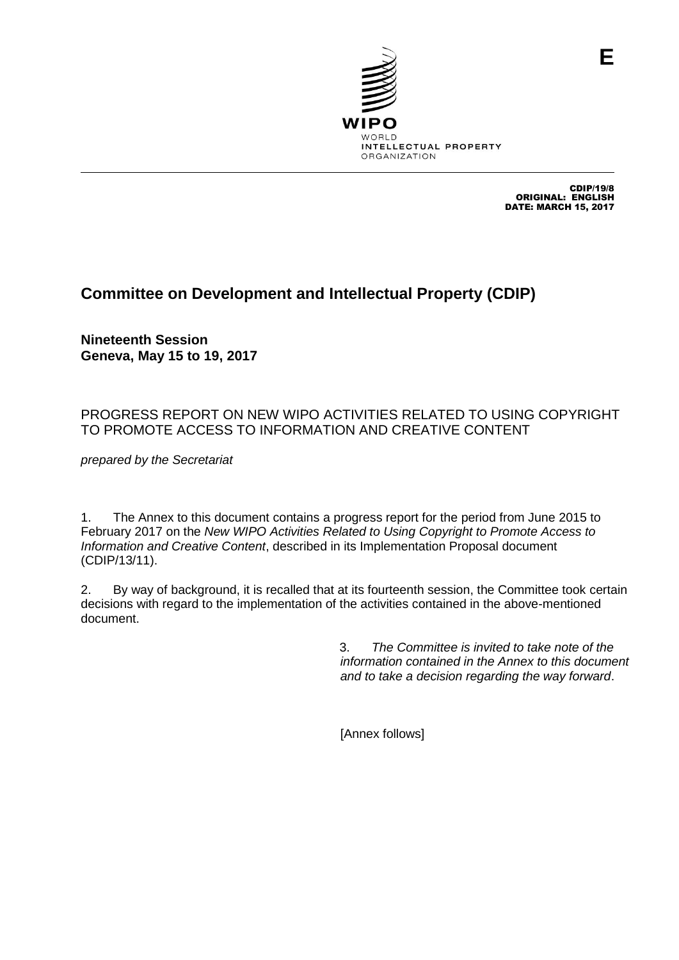

CDIP/19/8 ORIGINAL: ENGLISH DATE: MARCH 15, 2017

**E**

## **Committee on Development and Intellectual Property (CDIP)**

**Nineteenth Session Geneva, May 15 to 19, 2017**

## PROGRESS REPORT ON NEW WIPO ACTIVITIES RELATED TO USING COPYRIGHT TO PROMOTE ACCESS TO INFORMATION AND CREATIVE CONTENT

*prepared by the Secretariat*

1. The Annex to this document contains a progress report for the period from June 2015 to February 2017 on the *New WIPO Activities Related to Using Copyright to Promote Access to Information and Creative Content*, described in its Implementation Proposal document (CDIP/13/11).

2. By way of background, it is recalled that at its fourteenth session, the Committee took certain decisions with regard to the implementation of the activities contained in the above-mentioned document.

> 3. *The Committee is invited to take note of the information contained in the Annex to this document and to take a decision regarding the way forward*.

[Annex follows]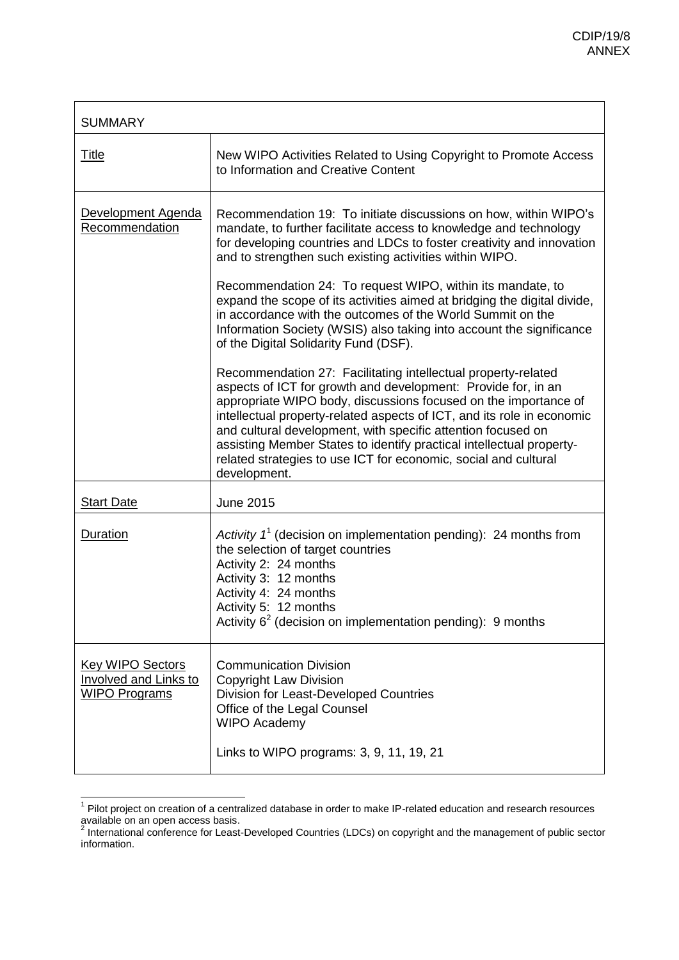| <b>SUMMARY</b>                                                                  |                                                                                                                                                                                                                                                                                                                                                                                                                                                                                                                                                                                                                                                                                                                                                                                                         |  |
|---------------------------------------------------------------------------------|---------------------------------------------------------------------------------------------------------------------------------------------------------------------------------------------------------------------------------------------------------------------------------------------------------------------------------------------------------------------------------------------------------------------------------------------------------------------------------------------------------------------------------------------------------------------------------------------------------------------------------------------------------------------------------------------------------------------------------------------------------------------------------------------------------|--|
| <b>Title</b>                                                                    | New WIPO Activities Related to Using Copyright to Promote Access<br>to Information and Creative Content                                                                                                                                                                                                                                                                                                                                                                                                                                                                                                                                                                                                                                                                                                 |  |
| Development Agenda<br>Recommendation                                            | Recommendation 19: To initiate discussions on how, within WIPO's<br>mandate, to further facilitate access to knowledge and technology<br>for developing countries and LDCs to foster creativity and innovation<br>and to strengthen such existing activities within WIPO.<br>Recommendation 24: To request WIPO, within its mandate, to<br>expand the scope of its activities aimed at bridging the digital divide,<br>in accordance with the outcomes of the World Summit on the<br>Information Society (WSIS) also taking into account the significance<br>of the Digital Solidarity Fund (DSF).<br>Recommendation 27: Facilitating intellectual property-related<br>aspects of ICT for growth and development: Provide for, in an<br>appropriate WIPO body, discussions focused on the importance of |  |
|                                                                                 | intellectual property-related aspects of ICT, and its role in economic<br>and cultural development, with specific attention focused on<br>assisting Member States to identify practical intellectual property-<br>related strategies to use ICT for economic, social and cultural<br>development.                                                                                                                                                                                                                                                                                                                                                                                                                                                                                                       |  |
| <b>Start Date</b>                                                               | <b>June 2015</b>                                                                                                                                                                                                                                                                                                                                                                                                                                                                                                                                                                                                                                                                                                                                                                                        |  |
| Duration                                                                        | Activity $1^1$ (decision on implementation pending): 24 months from<br>the selection of target countries<br>Activity 2: 24 months<br>Activity 3: 12 months<br>Activity 4: 24 months<br>Activity 5: 12 months<br>Activity $6^2$ (decision on implementation pending): 9 months                                                                                                                                                                                                                                                                                                                                                                                                                                                                                                                           |  |
| <b>Key WIPO Sectors</b><br><b>Involved and Links to</b><br><b>WIPO Programs</b> | <b>Communication Division</b><br><b>Copyright Law Division</b><br><b>Division for Least-Developed Countries</b><br>Office of the Legal Counsel<br><b>WIPO Academy</b><br>Links to WIPO programs: 3, 9, 11, 19, 21                                                                                                                                                                                                                                                                                                                                                                                                                                                                                                                                                                                       |  |

 1 Pilot project on creation of a centralized database in order to make IP-related education and research resources available on an open access basis.<br><sup>2</sup> International conference for Least-Developed Countries (LDCs) on copyright and the management of public sector

information.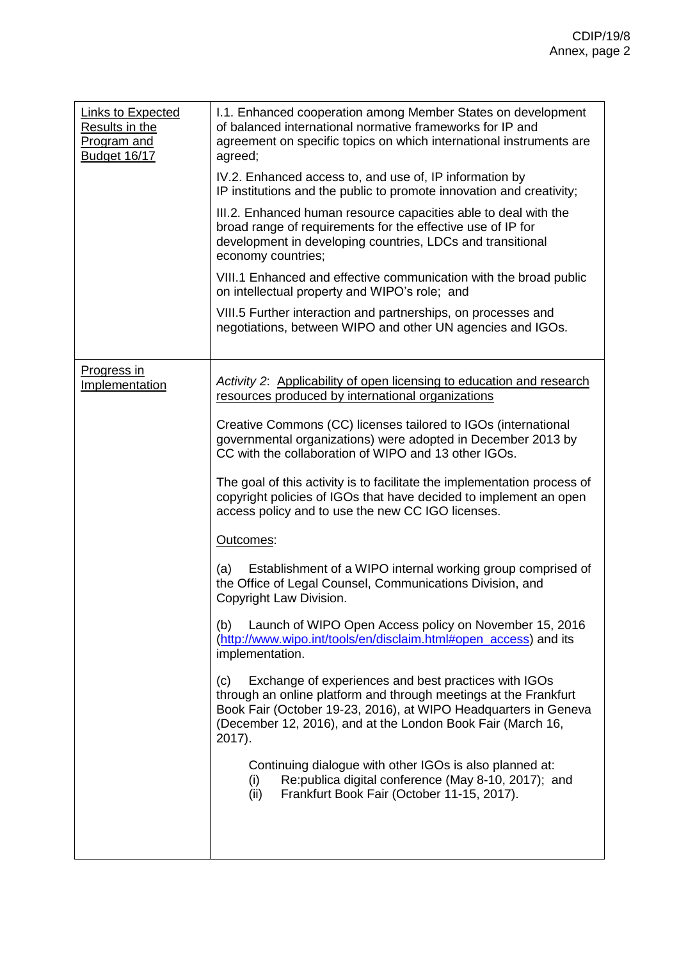| <b>Links to Expected</b><br>Results in the<br>Program and<br>Budget 16/17 | 1.1. Enhanced cooperation among Member States on development<br>of balanced international normative frameworks for IP and<br>agreement on specific topics on which international instruments are<br>agreed;                                                                    |
|---------------------------------------------------------------------------|--------------------------------------------------------------------------------------------------------------------------------------------------------------------------------------------------------------------------------------------------------------------------------|
|                                                                           | IV.2. Enhanced access to, and use of, IP information by<br>IP institutions and the public to promote innovation and creativity;                                                                                                                                                |
|                                                                           | III.2. Enhanced human resource capacities able to deal with the<br>broad range of requirements for the effective use of IP for<br>development in developing countries, LDCs and transitional<br>economy countries;                                                             |
|                                                                           | VIII.1 Enhanced and effective communication with the broad public<br>on intellectual property and WIPO's role; and                                                                                                                                                             |
|                                                                           | VIII.5 Further interaction and partnerships, on processes and<br>negotiations, between WIPO and other UN agencies and IGOs.                                                                                                                                                    |
| Progress in<br>Implementation                                             | Activity 2: Applicability of open licensing to education and research<br>resources produced by international organizations                                                                                                                                                     |
|                                                                           | Creative Commons (CC) licenses tailored to IGOs (international<br>governmental organizations) were adopted in December 2013 by<br>CC with the collaboration of WIPO and 13 other IGOs.                                                                                         |
|                                                                           | The goal of this activity is to facilitate the implementation process of<br>copyright policies of IGOs that have decided to implement an open<br>access policy and to use the new CC IGO licenses.                                                                             |
|                                                                           | Outcomes:                                                                                                                                                                                                                                                                      |
|                                                                           | Establishment of a WIPO internal working group comprised of<br>(a)<br>the Office of Legal Counsel, Communications Division, and<br>Copyright Law Division.                                                                                                                     |
|                                                                           | Launch of WIPO Open Access policy on November 15, 2016<br>(b)<br>(http://www.wipo.int/tools/en/disclaim.html#open_access) and its<br>implementation.                                                                                                                           |
|                                                                           | Exchange of experiences and best practices with IGOs<br>(c)<br>through an online platform and through meetings at the Frankfurt<br>Book Fair (October 19-23, 2016), at WIPO Headquarters in Geneva<br>(December 12, 2016), and at the London Book Fair (March 16,<br>$2017$ ). |
|                                                                           | Continuing dialogue with other IGOs is also planned at:<br>Re: publica digital conference (May 8-10, 2017); and<br>(i)<br>Frankfurt Book Fair (October 11-15, 2017).<br>(ii)                                                                                                   |
|                                                                           |                                                                                                                                                                                                                                                                                |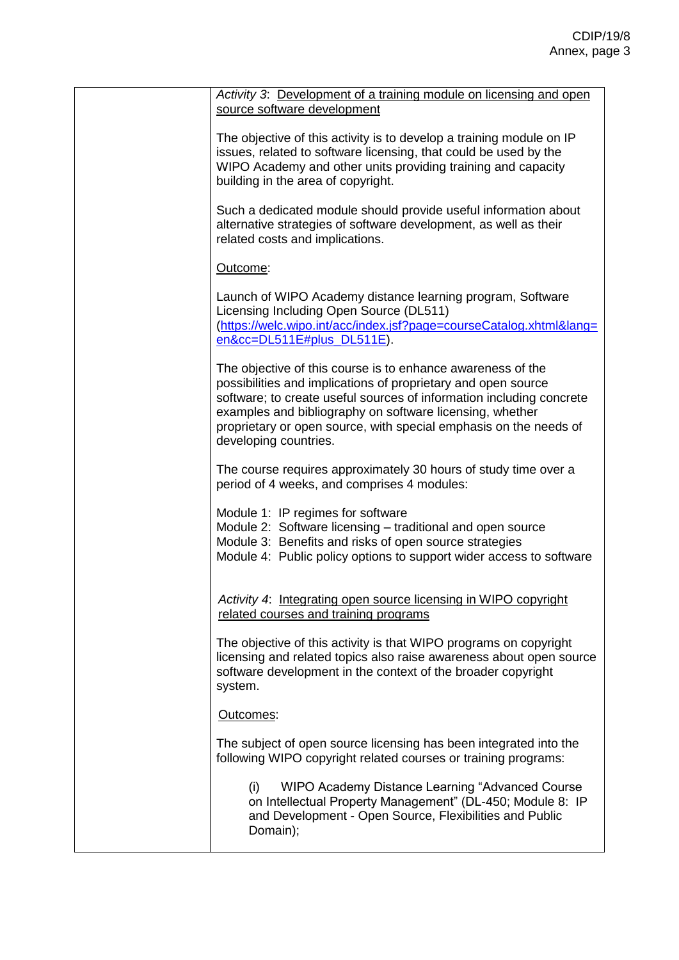| Activity 3: Development of a training module on licensing and open<br>source software development                                                                                                                                                                                                                                                              |
|----------------------------------------------------------------------------------------------------------------------------------------------------------------------------------------------------------------------------------------------------------------------------------------------------------------------------------------------------------------|
| The objective of this activity is to develop a training module on IP<br>issues, related to software licensing, that could be used by the<br>WIPO Academy and other units providing training and capacity<br>building in the area of copyright.                                                                                                                 |
| Such a dedicated module should provide useful information about<br>alternative strategies of software development, as well as their<br>related costs and implications.                                                                                                                                                                                         |
| Outcome:                                                                                                                                                                                                                                                                                                                                                       |
| Launch of WIPO Academy distance learning program, Software<br>Licensing Including Open Source (DL511)<br>(https://welc.wipo.int/acc/index.jsf?page=courseCatalog.xhtml⟨=<br>en&cc=DL511E#plus_DL511E).                                                                                                                                                         |
| The objective of this course is to enhance awareness of the<br>possibilities and implications of proprietary and open source<br>software; to create useful sources of information including concrete<br>examples and bibliography on software licensing, whether<br>proprietary or open source, with special emphasis on the needs of<br>developing countries. |
| The course requires approximately 30 hours of study time over a<br>period of 4 weeks, and comprises 4 modules:                                                                                                                                                                                                                                                 |
| Module 1: IP regimes for software<br>Module 2: Software licensing - traditional and open source<br>Module 3: Benefits and risks of open source strategies<br>Module 4: Public policy options to support wider access to software                                                                                                                               |
| Activity 4: Integrating open source licensing in WIPO copyright<br>related courses and training programs                                                                                                                                                                                                                                                       |
| The objective of this activity is that WIPO programs on copyright<br>licensing and related topics also raise awareness about open source<br>software development in the context of the broader copyright<br>system.                                                                                                                                            |
| Outcomes:                                                                                                                                                                                                                                                                                                                                                      |
| The subject of open source licensing has been integrated into the<br>following WIPO copyright related courses or training programs:                                                                                                                                                                                                                            |
| WIPO Academy Distance Learning "Advanced Course"<br>(i)<br>on Intellectual Property Management" (DL-450; Module 8: IP<br>and Development - Open Source, Flexibilities and Public<br>Domain);                                                                                                                                                                   |
|                                                                                                                                                                                                                                                                                                                                                                |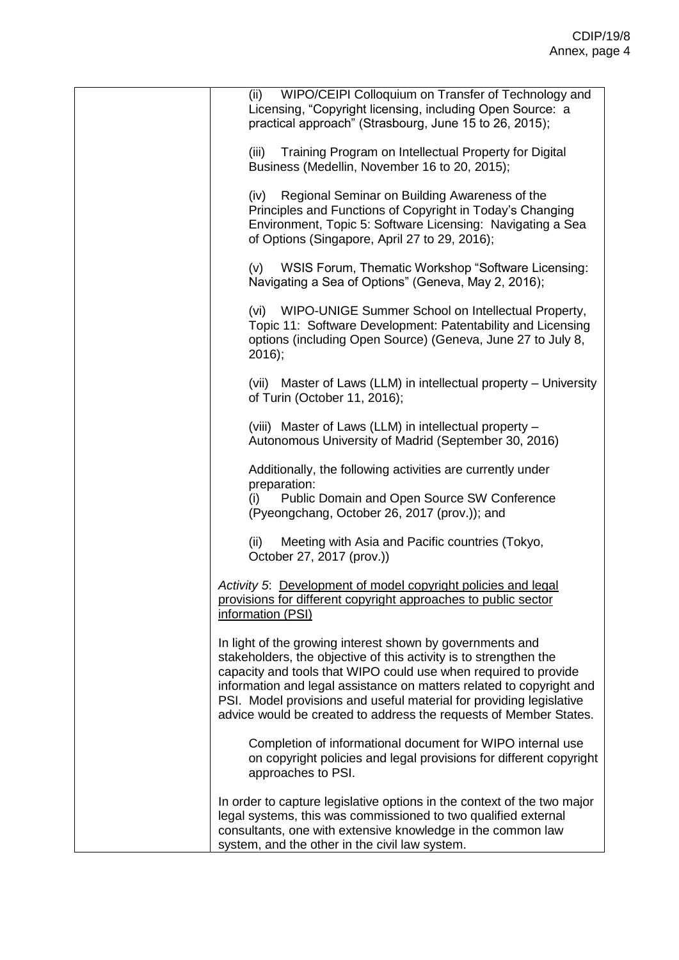| WIPO/CEIPI Colloquium on Transfer of Technology and<br>(ii)<br>Licensing, "Copyright licensing, including Open Source: a<br>practical approach" (Strasbourg, June 15 to 26, 2015);                                                                                                                                                                                                                                    |
|-----------------------------------------------------------------------------------------------------------------------------------------------------------------------------------------------------------------------------------------------------------------------------------------------------------------------------------------------------------------------------------------------------------------------|
| (iii)<br>Training Program on Intellectual Property for Digital<br>Business (Medellin, November 16 to 20, 2015);                                                                                                                                                                                                                                                                                                       |
| Regional Seminar on Building Awareness of the<br>(iv)<br>Principles and Functions of Copyright in Today's Changing<br>Environment, Topic 5: Software Licensing: Navigating a Sea<br>of Options (Singapore, April 27 to 29, 2016);                                                                                                                                                                                     |
| (v)<br>WSIS Forum, Thematic Workshop "Software Licensing:<br>Navigating a Sea of Options" (Geneva, May 2, 2016);                                                                                                                                                                                                                                                                                                      |
| (vi) WIPO-UNIGE Summer School on Intellectual Property,<br>Topic 11: Software Development: Patentability and Licensing<br>options (including Open Source) (Geneva, June 27 to July 8,<br>$2016$ ;                                                                                                                                                                                                                     |
| (vii) Master of Laws (LLM) in intellectual property - University<br>of Turin (October 11, 2016);                                                                                                                                                                                                                                                                                                                      |
| (viii) Master of Laws (LLM) in intellectual property -<br>Autonomous University of Madrid (September 30, 2016)                                                                                                                                                                                                                                                                                                        |
| Additionally, the following activities are currently under<br>preparation:<br>Public Domain and Open Source SW Conference<br>(i)<br>(Pyeongchang, October 26, 2017 (prov.)); and                                                                                                                                                                                                                                      |
| Meeting with Asia and Pacific countries (Tokyo,<br>(ii)<br>October 27, 2017 (prov.))                                                                                                                                                                                                                                                                                                                                  |
| Activity 5: Development of model copyright policies and legal<br>provisions for different copyright approaches to public sector<br>information (PSI)                                                                                                                                                                                                                                                                  |
| In light of the growing interest shown by governments and<br>stakeholders, the objective of this activity is to strengthen the<br>capacity and tools that WIPO could use when required to provide<br>information and legal assistance on matters related to copyright and<br>PSI. Model provisions and useful material for providing legislative<br>advice would be created to address the requests of Member States. |
| Completion of informational document for WIPO internal use<br>on copyright policies and legal provisions for different copyright<br>approaches to PSI.                                                                                                                                                                                                                                                                |
| In order to capture legislative options in the context of the two major<br>legal systems, this was commissioned to two qualified external<br>consultants, one with extensive knowledge in the common law<br>system, and the other in the civil law system.                                                                                                                                                            |